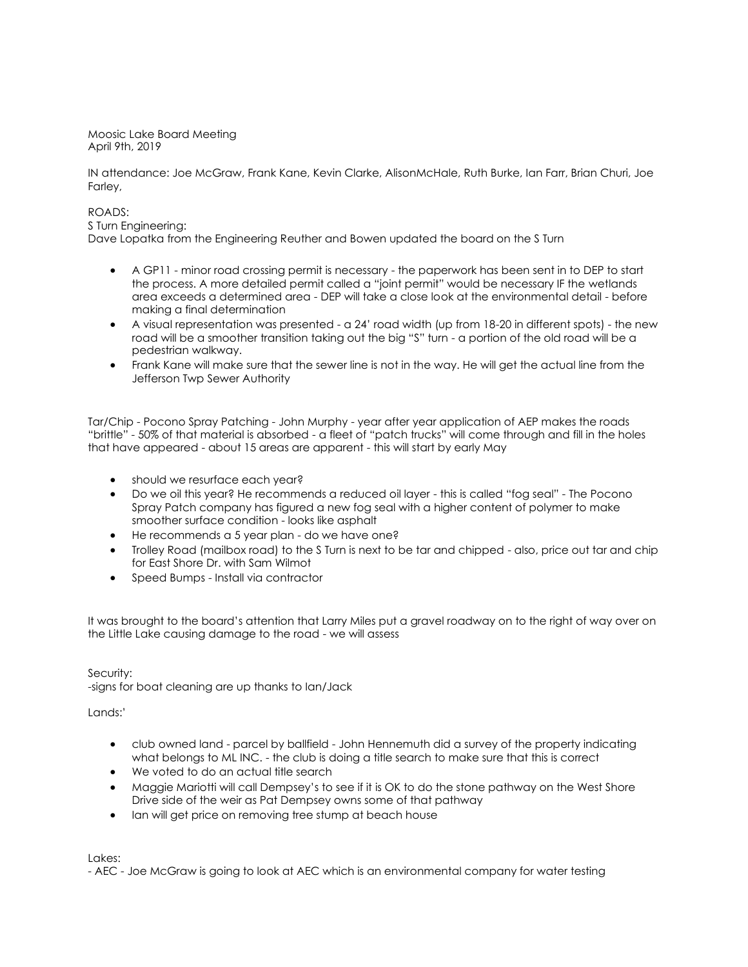Moosic Lake Board Meeting April 9th, 2019

IN attendance: Joe McGraw, Frank Kane, Kevin Clarke, AlisonMcHale, Ruth Burke, Ian Farr, Brian Churi, Joe Farley,

## ROADS:

S Turn Engineering:

Dave Lopatka from the Engineering Reuther and Bowen updated the board on the S Turn

- A GP11 minor road crossing permit is necessary the paperwork has been sent in to DEP to start the process. A more detailed permit called a "joint permit" would be necessary IF the wetlands area exceeds a determined area - DEP will take a close look at the environmental detail - before making a final determination
- $\bullet$  A visual representation was presented a 24' road width (up from 18-20 in different spots) the new road will be a smoother transition taking out the big "S" turn - a portion of the old road will be a pedestrian walkway.
- Frank Kane will make sure that the sewer line is not in the way. He will get the actual line from the Jefferson Twp Sewer Authority

Tar/Chip - Pocono Spray Patching - John Murphy - year after year application of AEP makes the roads "brittle" - 50% of that material is absorbed - a fleet of "patch trucks" will come through and fill in the holes that have appeared - about 15 areas are apparent - this will start by early May

- should we resurface each year?
- Do we oil this year? He recommends a reduced oil layer this is called "fog seal" The Pocono Spray Patch company has figured a new fog seal with a higher content of polymer to make smoother surface condition - looks like asphalt
- He recommends a 5 year plan do we have one?
- Trolley Road (mailbox road) to the S Turn is next to be tar and chipped also, price out tar and chip for East Shore Dr. with Sam Wilmot
- Speed Bumps Install via contractor

It was brought to the board's attention that Larry Miles put a gravel roadway on to the right of way over on the Little Lake causing damage to the road - we will assess

Security:

-signs for boat cleaning are up thanks to Ian/Jack

Lands:'

- club owned land parcel by ballfield John Hennemuth did a survey of the property indicating what belongs to ML INC. - the club is doing a title search to make sure that this is correct
- We voted to do an actual title search
- Maggie Mariotti will call Dempsey's to see if it is OK to do the stone pathway on the West Shore Drive side of the weir as Pat Dempsey owns some of that pathway
- Ian will get price on removing tree stump at beach house

Lakes:

- AEC - Joe McGraw is going to look at AEC which is an environmental company for water testing